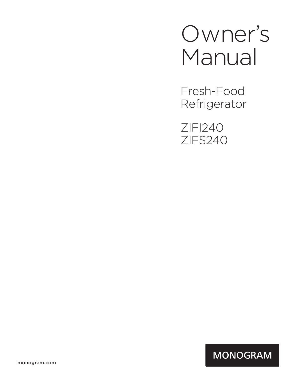# Owner's Manual

Fresh-Food Refrigerator

ZIFI240 ZIFS240

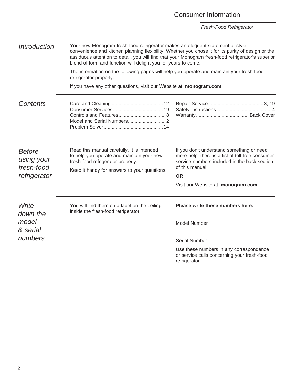### Consumer Information

*Fresh-Food Refrigerator*

| <i><b>Introduction</b></i>                | Your new Monogram fresh-food refrigerator makes an eloquent statement of style,<br>convenience and kitchen planning flexibility. Whether you chose it for its purity of design or the<br>assiduous attention to detail, you will find that your Monogram fresh-food refrigerator's superior<br>blend of form and function will delight you for years to come. |                                                                                                                                                                  |  |
|-------------------------------------------|---------------------------------------------------------------------------------------------------------------------------------------------------------------------------------------------------------------------------------------------------------------------------------------------------------------------------------------------------------------|------------------------------------------------------------------------------------------------------------------------------------------------------------------|--|
|                                           | The information on the following pages will help you operate and maintain your fresh-food<br>refrigerator properly.                                                                                                                                                                                                                                           |                                                                                                                                                                  |  |
|                                           | If you have any other questions, visit our Website at: monogram.com                                                                                                                                                                                                                                                                                           |                                                                                                                                                                  |  |
| Contents                                  |                                                                                                                                                                                                                                                                                                                                                               |                                                                                                                                                                  |  |
| <b>Before</b><br>using your<br>fresh-food | Read this manual carefully. It is intended<br>to help you operate and maintain your new<br>fresh-food refrigerator properly.<br>Keep it handy for answers to your questions.                                                                                                                                                                                  | If you don't understand something or need<br>more help, there is a list of toll-free consumer<br>service numbers included in the back section<br>of this manual. |  |
| refrigerator                              |                                                                                                                                                                                                                                                                                                                                                               | <b>OR</b>                                                                                                                                                        |  |
|                                           |                                                                                                                                                                                                                                                                                                                                                               | Visit our Website at: monogram.com                                                                                                                               |  |
| Write<br>down the                         | You will find them on a label on the ceiling<br>inside the fresh-food refrigerator.                                                                                                                                                                                                                                                                           | Please write these numbers here:                                                                                                                                 |  |
| model<br>& serial                         |                                                                                                                                                                                                                                                                                                                                                               | Model Number                                                                                                                                                     |  |
| numbers                                   |                                                                                                                                                                                                                                                                                                                                                               | Serial Number                                                                                                                                                    |  |
|                                           |                                                                                                                                                                                                                                                                                                                                                               | Use these numbers in any correspondence<br>or service calls concerning your fresh-food                                                                           |  |

refrigerator.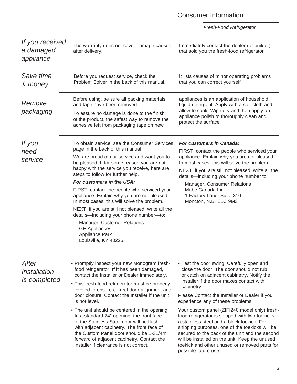### Consumer Information

| If you received<br>a damaged<br>appliance | The warranty does not cover damage caused<br>after delivery.                                                                                                                                                                                                                                                                                                                                                                                                                                                                                                                                                                                         | Immediately contact the dealer (or builder)<br>that sold you the fresh-food refrigerator.                                                                                                                                                                                                                                                                                                                                                                                                                                                                                                                                                                           |
|-------------------------------------------|------------------------------------------------------------------------------------------------------------------------------------------------------------------------------------------------------------------------------------------------------------------------------------------------------------------------------------------------------------------------------------------------------------------------------------------------------------------------------------------------------------------------------------------------------------------------------------------------------------------------------------------------------|---------------------------------------------------------------------------------------------------------------------------------------------------------------------------------------------------------------------------------------------------------------------------------------------------------------------------------------------------------------------------------------------------------------------------------------------------------------------------------------------------------------------------------------------------------------------------------------------------------------------------------------------------------------------|
| Save time<br>& money                      | Before you request service, check the<br>Problem Solver in the back of this manual.                                                                                                                                                                                                                                                                                                                                                                                                                                                                                                                                                                  | It lists causes of minor operating problems<br>that you can correct yourself.                                                                                                                                                                                                                                                                                                                                                                                                                                                                                                                                                                                       |
| Remove<br>packaging                       | Before using, be sure all packing materials<br>and tape have been removed.<br>To assure no damage is done to the finish<br>of the product, the safest way to remove the<br>adhesive left from packaging tape on new                                                                                                                                                                                                                                                                                                                                                                                                                                  | appliances is an application of household<br>liquid detergent. Apply with a soft cloth and<br>allow to soak. Wipe dry and then apply an<br>appliance polish to thoroughly clean and<br>protect the surface.                                                                                                                                                                                                                                                                                                                                                                                                                                                         |
| If you<br>need<br>service                 | To obtain service, see the Consumer Services<br>page in the back of this manual.<br>We are proud of our service and want you to<br>be pleased. If for some reason you are not<br>happy with the service you receive, here are<br>steps to follow for further help.<br>For customers in the USA:<br>FIRST, contact the people who serviced your<br>appliance. Explain why you are not pleased.<br>In most cases, this will solve the problem.<br>NEXT, if you are still not pleased, write all the<br>details-including your phone number-to:<br>Manager, Customer Relations<br><b>GE Appliances</b><br><b>Appliance Park</b><br>Louisville, KY 40225 | <b>For customers in Canada:</b><br>FIRST, contact the people who serviced your<br>appliance. Explain why you are not pleased.<br>In most cases, this will solve the problem.<br>NEXT, if you are still not pleased, write all the<br>details-including your phone number to:<br>Manager, Consumer Relations<br>Mabe Canada Inc.<br>1 Factory Lane, Suite 310<br>Moncton, N.B. E1C 9M3                                                                                                                                                                                                                                                                               |
| After<br>installation<br>is completed     | • Promptly inspect your new Monogram fresh-<br>food refrigerator. If it has been damaged,<br>contact the Installer or Dealer immediately.<br>• This fresh-food refrigerator must be properly<br>leveled to ensure correct door alignment and<br>door closure. Contact the Installer if the unit<br>is not level.<br>• The unit should be centered in the opening.<br>In a standard 24" opening, the front face<br>of the Stainless Steel door will be flush<br>with adjacent cabinetry. The front face of<br>the Custom Panel door should be 1-31/44"<br>forward of adjacent cabinetry. Contact the<br>installer if clearance is not correct.        | • Test the door swing. Carefully open and<br>close the door. The door should not rub<br>or catch on adjacent cabinetry. Notify the<br>installer if the door makes contact with<br>cabinetry.<br>Please Contact the Installer or Dealer if you<br>experience any of these problems.<br>Your custom panel (ZIFI240 model only) fresh-<br>food refrigerator is shipped with two toekicks,<br>a stainless steel and a black toekick. For<br>shipping purposes, one of the toekicks will be<br>secured to the back of the unit and the second<br>will be installed on the unit. Keep the unused<br>toekick and other unused or removed parts for<br>possible future use. |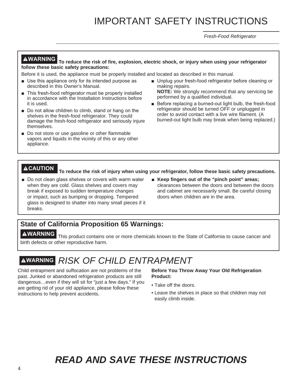## IMPORTANT SAFETY INSTRUCTIONS

*Fresh-Food Refrigerator*

**WARNING To reduce the risk of fire, explosion, electric shock, or injury when using your refrigerator follow these basic safety precautions:**

Before it is used, the appliance must be properly installed and located as described in this manual.

- $\blacksquare$  Use this appliance only for its intended purpose as described in this Owner's Manual.
- $\blacksquare$  This fresh-food refrigerator must be properly installed in accordance with the Installation Instructions before it is used.
- Do not allow children to climb, stand or hang on the shelves in the fresh-food refrigerator. They could damage the fresh-food refrigerator and seriously injure themselves.
- Do not store or use gasoline or other flammable vapors and liquids in the vicinity of this or any other appliance.
- $\blacksquare$  Unplug your fresh-food refrigerator before cleaning or making repairs.
	- **NOTE:** We strongly recommend that any servicing be performed by a qualified individual.
- Before replacing a burned-out light bulb, the fresh-food refrigerator should be turned OFF or unplugged in order to avoid contact with a live wire filament. (A burned-out light bulb may break when being replaced.)

**CAUTION To reduce the risk of injury when using your refrigerator, follow these basic safety precautions.**

- Do not clean glass shelves or covers with warm water when they are cold. Glass shelves and covers may break if exposed to sudden temperature changes or impact, such as bumping or dropping. Tempered glass is designed to shatter into many small pieces if it breaks.
- **EXECTE:** Keep fingers out of the "pinch point" areas; clearances between the doors and between the doors and cabinet are necessarily small. Be careful closing doors when children are in the area.

### **State of California Proposition 65 Warnings:**

**AWARNING** This product contains one or more chemicals known to the State of California to cause cancer and birth defects or other reproductive harm.

### **WARNING** *RISK OF CHILD ENTRAPMENT*

Child entrapment and suffocation are not problems of the past. Junked or abandoned refrigeration products are still dangerous…even if they will sit for "just a few days." If you are getting rid of your old appliance, please follow these instructions to help prevent accidents.

**Before You Throw Away Your Old Refrigeration Product:**

- Take off the doors.
- Leave the shelves in place so that children may not easily climb inside.

### *READ AND SAVE THESE INSTRUCTIONS*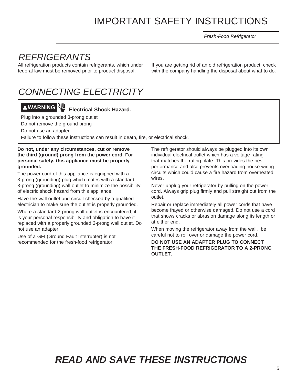## IMPORTANT SAFETY INSTRUCTIONS

*Fresh-Food Refrigerator*

### *REFRIGERANTS*

All refrigeration products contain refrigerants, which under federal law must be removed prior to product disposal.

If you are getting rid of an old refrigeration product, check with the company handling the disposal about what to do.

### *CONNECTING ELECTRICITY*

## **WARNING Electrical Shock Hazard.**

Plug into a grounded 3-prong outlet

Do not remove the ground prong

Do not use an adapter

Failure to follow these instructions can result in death, fire, or electrical shock.

#### **Do not, under any circumstances, cut or remove the third (ground) prong from the power cord. For personal safety, this appliance must be properly grounded.**

The power cord of this appliance is equipped with a 3-prong (grounding) plug which mates with a standard 3-prong (grounding) wall outlet to minimize the possibility of electric shock hazard from this appliance.

Have the wall outlet and circuit checked by a qualified electrician to make sure the outlet is properly grounded.

Where a standard 2-prong wall outlet is encountered, it is your personal responsibility and obligation to have it replaced with a properly grounded 3-prong wall outlet. Do not use an adapter.

Use of a GFI (Ground Fault Interrupter) is not recommended for the fresh-food refrigerator.

The refrigerator should always be plugged into its own individual electrical outlet which has a voltage rating that matches the rating plate. This provides the best performance and also prevents overloading house wiring circuits which could cause a fire hazard from overheated wires.

Never unplug your refrigerator by pulling on the power cord. Always grip plug firmly and pull straight out from the outlet.

Repair or replace immediately all power cords that have become frayed or otherwise damaged. Do not use a cord that shows cracks or abrasion damage along its length or at either end.

When moving the refrigerator away from the wall, be careful not to roll over or damage the power cord.

#### **DO NOT USE AN ADAPTER PLUG TO CONNECT THE FRESH-FOOD REFRIGERATOR TO A 2-PRONG OUTLET.**

### *READ AND SAVE THESE INSTRUCTIONS*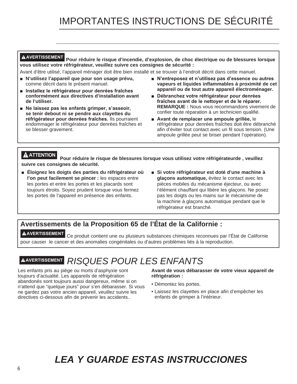**AVERTISSEMENT Pour réduire le risque d'incendie, d'explosion, de choc électrique ou de blessures lorsque vous utilisez votre réfrigérateur, veuillez suivre ces consignes de sécurité :**

Avant d'être utilisé, l'appareil ménager doit être bien installé et se trouver à l'endroit décrit dans cette manuel.

- **N'utilisez l'appareil que pour son usage prévu,** comme décrit dans le présent manuel.
- **E** Installez le réfrigérateur pour denrées fraîches **conformément aux directives d'installation avant de l'utiliser.**
- Ne laissez pas les enfants grimper, s'asseoir, **se tenir debout ni se pendre aux clayettes du**  réfrigérateur pour denrées fraîches. Ils pourraient endommager le réfrigérateur pour denrées fraîches et se blesser gravement.
- N'entreposez et n'utilisez pas d'essence ou autres **vapeurs et liquides inflammables à proximité de cet appareil ou de tout autre appareil électroménager.**
- **Débranchez votre réfrigérateur pour denrées** fraîches avant de le nettoyer et de le réparer. **REMARQUE :** Nous vous recommandons vivement de confier toute réparation à un technicien qualifié.
- **E** Avant de remplacer une ampoule grillée, le réfrigérateur pour denrées fraîches doit être débranché afin d'éviter tout contact avec un fil sous tension. (Une ampoule grillée peut se briser pendant l'opération).

**ATTENTION Pour réduire le risque de blessures lorsque vous utilisez votre réfrigérateurde , veuillez suivre ces consignes de sécurité.** 

- **Eloignez les doigts des parties du réfrigérateur où l'on peut facilement se pincer :** les espaces entre les portes et entre les portes et les placards sont toujours étroits. Soyez prudent lorsque vous fermez les portes de l'appareil en présence des enfants.
- Si votre réfrigérateur est doté d'une machine à **glaçons automatique,** évitez le contact avec les pièces mobiles du mécanisme éjecteur, ou avec l'élément chauffant qui libère les glaçons. Ne posez pas les doigts ou les mains sur le mécanisme de la machine à glaçons automatique pendant que le réfrigérateur est branché.

### **Avertissements de la Proposition 65 de l'État de la Californie :**

**AVERTISSEMENT** Ce produit contient une ou plusieurs substances chimiques reconnues par l'État de Californie pour causer le cancer et des anomalies congénitales ou d'autres problèmes liés à la reproduction.

### **AVERTISSEMENT** *RISQUES POUR LES ENFANTS*

Les enfants pris au piège ou morts d'asphyxie sont toujours d'actualité. Les appareils de réfrigération abandonés sont toujours aussi dangereux, même si on n'attend que "quelque jours" pour s'en débarasser. Si vous ne gardez pas votre ancien appareil, veuillez suivre les directives ci-dessous afin de prévenir les accidents..

**Avant de vous débarasser de votre vieux appareil de réfrigération :**

- Démontez les portes.
- Laissez les clayettes en place afin d'empêcher les enfants de grimper à l'intérieur.

## *LEA Y GUARDE ESTAS INSTRUCCIONES*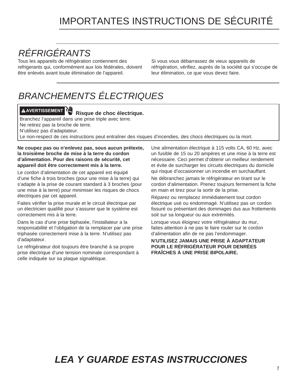## IMPORTANTES INSTRUCTIONS DE SÉCURITÉ

## *RÉFRIGÉRANTS*

Tous les appareils de réfrigération contiennent des refrigerants qui, conformément aux lois fédérales, doivent être enlevés avant toute élimination de l'appareil.

Si vous vous débarrassez de vieux appareils de réfrigération, vérifiez, auprès de la société qui s'occupe de leur élimination, ce que vous devez faire.

## *BRANCHEMENTS ÉLECTRIQUES*

## **AVERTISSEMENT Risque de choc électrique.**

Branchez l'appareil dans une prise triple avec terre. Ne retirez pas la broche de terre.

N'utilisez pas d'adaptateur.

Le non-respect de ces instructions peut entraîner des risques d'incendies, des chocs électriques ou la mort.

#### **Ne coupez pas ou n'enlevez pas, sous aucun prétexte, la troisième broche de mise à la terre du cordon d'alimentation. Pour des raisons de sécurité, cet appareil doit être correctement mis à la terre.**

Le cordon d'alimentation de cet appareil est équipé d'une fiche à trois broches (pour une mise à la terre) qui s'adapte à la prise de courant standard à 3 broches (pour une mise à la terre) pour minimiser les risques de chocs électriques par cet appareil.

Faites vérifier la prise murale et le circuit électrique par un électricien qualifié pour s'assurer que le système est correctement mis à la terre.

Dans le cas d'une prise biphasée, l'installateur a la responsabilité et l'obligation de la remplacer par une prise triphasée correctement mise à la terre. N'utilisez pas d'adaptateur.

Le réfrigérateur doit toujours être branché à sa propre prise électrique d'une tension nominale correspondant à celle indiquée sur sa plaque signalétique.

Une alimentation électrique à 115 volts CA, 60 Hz, avec un fusible de 15 ou 20 ampères et une mise à la terre est nécessaire. Ceci permet d'obtenir un meilleur rendement et évite de surcharger les circuits électriques du domicile qui risque d'occasionner un incendie en surchauffant.

Ne débranchez jamais le réfrigérateur en tirant sur le cordon d'alimentation. Prenez toujours fermement la fiche en main et tirez pour la sortir de la prise.

Réparez ou remplacez immédiatement tout cordon électrique usé ou endommagé. N'utilisez pas un cordon fissuré ou présentant des dommages dus aux frottements soit sur sa longueur ou aux extrémités.

Lorsque vous éloignez votre réfrigérateur du mur, faites attention à ne pas le faire rouler sur le cordon d'alimentation afin de ne pas l'endommager.

#### **N'UTILISEZ JAMAIS UNE PRISE À ADAPTATEUR POUR LE RÉFRIGÉRATEUR POUR DENRÉES FRAÎCHES À UNE PRISE BIPOLAIRE.**

### *LEA Y GUARDE ESTAS INSTRUCCIONES*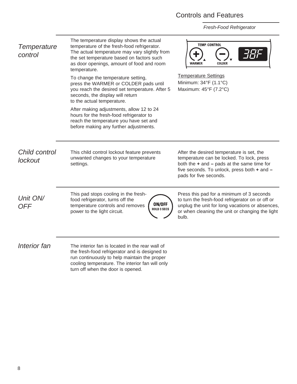### Controls and Features

*Fresh-Food Refrigerator*

| Temperature<br>control   | The temperature display shows the actual<br>temperature of the fresh-food refrigerator.<br>The actual temperature may vary slightly from<br>the set temperature based on factors such<br>as door openings, amount of food and room<br>temperature.<br>To change the temperature setting,<br>press the WARMER or COLDER pads until<br>you reach the desired set temperature. After 5<br>seconds, the display will return<br>to the actual temperature.<br>After making adjustments, allow 12 to 24<br>hours for the fresh-food refrigerator to<br>reach the temperature you have set and<br>before making any further adjustments. | <b>TEMP CONTROL</b><br><b>WARMER</b><br><b>COLDER</b><br><b>Temperature Settings</b><br>Minimum: 34°F (1.1°C)<br>Maximum: 45°F (7.2°C)                                                                            |
|--------------------------|-----------------------------------------------------------------------------------------------------------------------------------------------------------------------------------------------------------------------------------------------------------------------------------------------------------------------------------------------------------------------------------------------------------------------------------------------------------------------------------------------------------------------------------------------------------------------------------------------------------------------------------|-------------------------------------------------------------------------------------------------------------------------------------------------------------------------------------------------------------------|
| Child control<br>lockout | This child control lockout feature prevents<br>unwanted changes to your temperature<br>settings.                                                                                                                                                                                                                                                                                                                                                                                                                                                                                                                                  | After the desired temperature is set, the<br>temperature can be locked. To lock, press<br>both the $+$ and $-$ pads at the same time for<br>five seconds. To unlock, press both + and -<br>pads for five seconds. |
| Unit ON/<br><b>OFF</b>   | This pad stops cooling in the fresh-<br>food refrigerator, turns off the<br>ON/OFF<br>temperature controls and removes<br><b>HOLD 3 SECS</b><br>power to the light circuit.                                                                                                                                                                                                                                                                                                                                                                                                                                                       | Press this pad for a minimum of 3 seconds<br>to turn the fresh-food refrigerator on or off or<br>unplug the unit for long vacations or absences,<br>or when cleaning the unit or changing the light<br>bulb.      |
| Interior fan             | The interior fan is located in the rear wall of<br>the fresh-food refrigerator and is designed to<br>run continuously to help maintain the proper<br>cooling temperature. The interior fan will only                                                                                                                                                                                                                                                                                                                                                                                                                              |                                                                                                                                                                                                                   |

turn off when the door is opened.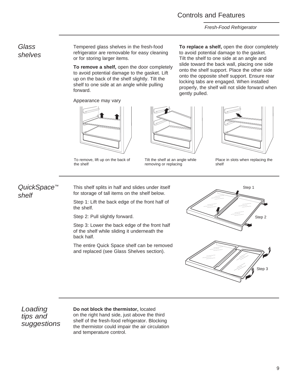#### Controls and Features

*Fresh-Food Refrigerator*

#### *Glass shelves*

Tempered glass shelves in the fresh-food refrigerator are removable for easy cleaning or for storing larger items.

**To remove a shelf,** open the door completely to avoid potential damage to the gasket. Lift up on the back of the shelf slightly. Tilt the shelf to one side at an angle while pulling forward.

Appearance may vary



To remove, lift up on the back of the shelf



Tilt the shelf at an angle while removing or replacing

**To replace a shelf,** open the door completely to avoid potential damage to the gasket. Tilt the shelf to one side at an angle and slide toward the back wall, placing one side onto the shelf support. Place the other side onto the opposite shelf support. Ensure rear locking tabs are engaged. When installed properly, the shelf will not slide forward when gently pulled.



Place in slots when replacing the shelf

### *QuickSpace™ shelf*

This shelf splits in half and slides under itself for storage of tall items on the shelf below.

Step 1: Lift the back edge of the front half of the shelf.

Step 2: Pull slightly forward.

Step 3: Lower the back edge of the front half of the shelf while sliding it underneath the back half.

The entire Quick Space shelf can be removed and replaced (see Glass Shelves section).





*Loading tips and suggestions* **Do not block the thermistor,** located

on the right hand side, just above the third shelf of the fresh-food refrigerator. Blocking the thermistor could impair the air circulation and temperature control.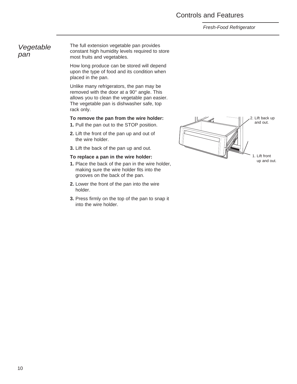#### Controls and Features

#### *Fresh-Food Refrigerator*

#### *Vegetable pan*

The full extension vegetable pan provides constant high humidity levels required to store most fruits and vegetables.

How long produce can be stored will depend upon the type of food and its condition when placed in the pan.

Unlike many refrigerators, the pan may be removed with the door at a 90° angle. This allows you to clean the vegetable pan easier. The vegetable pan is dishwasher safe, top rack only.

#### **To remove the pan from the wire holder:**

**1.** Pull the pan out to the STOP position.

- **2.** Lift the front of the pan up and out of the wire holder.
- **3.** Lift the back of the pan up and out.

#### **To replace a pan in the wire holder:**

- **1.** Place the back of the pan in the wire holder, making sure the wire holder fits into the grooves on the back of the pan.
- **2.** Lower the front of the pan into the wire holder.
- **3.** Press firmly on the top of the pan to snap it into the wire holder.

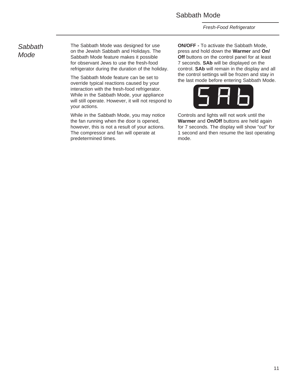#### Sabbath Mode

*Fresh-Food Refrigerator*

#### *Sabbath Mode*

The Sabbath Mode was designed for use on the Jewish Sabbath and Holidays. The Sabbath Mode feature makes it possible for observant Jews to use the fresh-food refrigerator during the duration of the holiday.

The Sabbath Mode feature can be set to override typical reactions caused by your interaction with the fresh-food refrigerator. While in the Sabbath Mode, your appliance will still operate. However, it will not respond to your actions.

While in the Sabbath Mode, you may notice the fan running when the door is opened, however, this is not a result of your actions. The compressor and fan will operate at predetermined times.

**ON/OFF -** To activate the Sabbath Mode, press and hold down the **Warmer** and **On/ Off** buttons on the control panel for at least 7 seconds. **SAb** will be displayed on the control. **SAb** will remain in the display and all the control settings will be frozen and stay in the last mode before entering Sabbath Mode.



Controls and lights will not work until the **Warmer** and **On/Off** buttons are held again for 7 seconds. The display will show "out" for 1 second and then resume the last operating mode.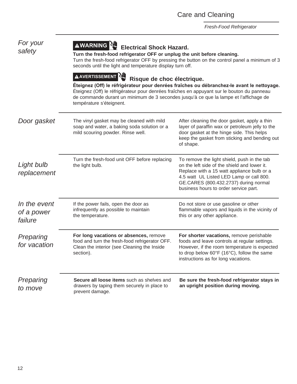| For your<br>safety                    | AWARNING <sup>N</sup> 型<br><b>Electrical Shock Hazard.</b><br>Turn the fresh-food refrigerator OFF or unplug the unit before cleaning.<br>Turn the fresh-food refrigerator OFF by pressing the button on the control panel a minimum of 3<br>seconds until the light and temperature display turn off. |                                                                                                                                                                                                                                                                         |
|---------------------------------------|--------------------------------------------------------------------------------------------------------------------------------------------------------------------------------------------------------------------------------------------------------------------------------------------------------|-------------------------------------------------------------------------------------------------------------------------------------------------------------------------------------------------------------------------------------------------------------------------|
|                                       | <b>AAVERTISSEMENT</b><br>Risque de choc électrique.<br>Éteignez (Off) le réfrigérateur pour denrées fraîches en appuyant sur le bouton du panneau<br>de commande durant un minimum de 3 secondes jusqu'à ce que la lampe et l'affichage de<br>température s'éteignent.                                 | Éteignez (Off) le réfrigérateur pour denrées fraîches ou débranchez-le avant le nettoyage.                                                                                                                                                                              |
| Door gasket                           | The vinyl gasket may be cleaned with mild<br>soap and water, a baking soda solution or a<br>mild scouring powder. Rinse well.                                                                                                                                                                          | After cleaning the door gasket, apply a thin<br>layer of paraffin wax or petroleum jelly to the<br>door gasket at the hinge side. This helps<br>keep the gasket from sticking and bending out<br>of shape.                                                              |
| Light bulb<br>replacement             | Turn the fresh-food unit OFF before replacing<br>the light bulb.                                                                                                                                                                                                                                       | To remove the light shield, push in the tab<br>on the left side of the shield and lower it.<br>Replace with a 15 watt appliance bulb or a<br>4.5 watt UL Listed LED Lamp or call 800.<br>GE.CARES (800.432.2737) during normal<br>business hours to order service part. |
| In the event<br>of a power<br>failure | If the power fails, open the door as<br>infrequently as possible to maintain<br>the temperature.                                                                                                                                                                                                       | Do not store or use gasoline or other<br>flammable vapors and liquids in the vicinity of<br>this or any other appliance.                                                                                                                                                |
| Preparing<br>for vacation             | For long vacations or absences, remove<br>food and turn the fresh-food refrigerator OFF.<br>Clean the interior (see Cleaning the Inside<br>section).                                                                                                                                                   | For shorter vacations, remove perishable<br>foods and leave controls at regular settings.<br>However, if the room temperature is expected<br>to drop below $60^{\circ}F$ (16 $^{\circ}C$ ), follow the same<br>instructions as for long vacations.                      |
| Preparing<br>to move                  | Secure all loose items such as shelves and<br>drawers by taping them securely in place to<br>prevent damage.                                                                                                                                                                                           | Be sure the fresh-food refrigerator stays in<br>an upright position during moving.                                                                                                                                                                                      |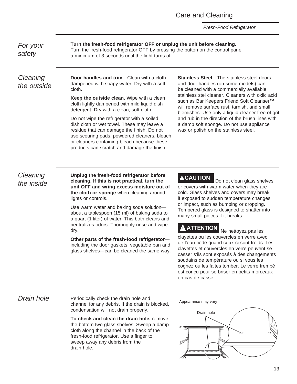Care and Cleaning

*Fresh-Food Refrigerator*

*For your safety*

**Turn the fresh-food refrigerator OFF or unplug the unit before cleaning.**  Turn the fresh-food refrigerator OFF by pressing the button on the control panel a minimum of 3 seconds until the light turns off.

*Cleaning the outside*

**Door handles and trim—**Clean with a cloth dampened with soapy water. Dry with a soft cloth.

**Keep the outside clean.** Wipe with a clean cloth lightly dampened with mild liquid dish detergent. Dry with a clean, soft cloth.

Do not wipe the refrigerator with a soiled dish cloth or wet towel. These may leave a residue that can damage the finish. Do not use scouring pads, powdered cleaners, bleach or cleaners containing bleach because these products can scratch and damage the finish.

**Stainless Steel—**The stainless steel doors and door handles (on some models) can be cleaned with a commercially available stainless stel cleaner. Cleaners with oxlic acid such as Bar Keepers Friend Soft Cleanser<sup>™</sup> will remove surface rust, tarnish, and small blemishes. Use only a liquid cleaner free of grit and rub in the direction of the brush lines with a damp soft sponge. Do not use appliance wax or polish on the stainless steel.

*Cleaning the inside*

**Unplug the fresh-food refrigerator before cleaning. If this is not practical, turn the unit OFF and wring excess moisture out of the cloth or sponge** when cleaning around lights or controls.

Use warm water and baking soda solution about a tablespoon (15 ml) of baking soda to a quart (1 liter) of water. This both cleans and neutralizes odors. Thoroughly rinse and wipe dry.

**Other parts of the fresh-food refrigerator** including the door gaskets, vegetable pan and glass shelves—can be cleaned the same way.

**ACAUTION** Do not clean glass shelves or covers with warm water when they are cold. Glass shelves and covers may break if exposed to sudden temperature changes or impact, such as bumping or dropping. Tempered glass is designed to shatter into many small pieces if it breaks.

### **ATTENTION** Ne nettoyez pas les

clayettes ou les couvercles en verre avec de l'eau tiède quand ceux-ci sont froids. Les clayettes et couvercles en verre peuvent se casser s'ils sont exposés à des changements soudains de température ou si vous les cognez ou les faites tomber. Le verre trempé est conçu pour se briser en petits morceaux en cas de casse

**Drain hole** Periodically check the drain hole and channel for any debris. If the drain is blocked, condensation will not drain properly.

> **To check and clean the drain hole,** remove the bottom two glass shelves. Sweep a damp cloth along the channel in the back of the fresh-food refrigerator. Use a finger to sweep away any debris from the drain hole.

Appearance may vary

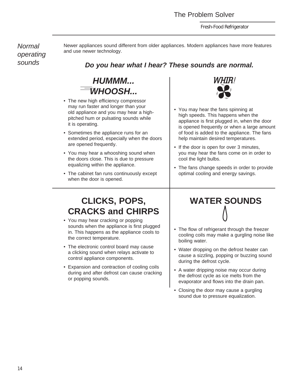*Fresh-Food Refrigerator*

*Normal operating sounds*

Newer appliances sound different from older appliances. Modern appliances have more features and use newer technology.

### *Do you hear what I hear? These sounds are normal.*



- The new high efficiency compressor may run faster and longer than your old appliance and you may hear a highpitched hum or pulsating sounds while it is operating.
- Sometimes the appliance runs for an extended period, especially when the doors are opened frequently.
- You may hear a whooshing sound when the doors close. This is due to pressure equalizing within the appliance.
- The cabinet fan runs continuously except when the door is opened.



- You may hear the fans spinning at high speeds. This happens when the appliance is first plugged in, when the door is opened frequently or when a large amount of food is added to the appliance. The fans help maintain desired temperatures.
- If the door is open for over 3 minutes, you may hear the fans come on in order to cool the light bulbs.
- The fans change speeds in order to provide optimal cooling and energy savings.

### **CLICKS, POPS, CRACKS and CHIRPS**

- You may hear cracking or popping sounds when the appliance is first plugged in. This happens as the appliance cools to the correct temperature.
- The electronic control board may cause a clicking sound when relays activate to control appliance components.
- Expansion and contraction of cooling coils during and after defrost can cause cracking or popping sounds.

# **WATER SOUNDS**

- The flow of refrigerant through the freezer cooling coils may make a gurgling noise like boiling water.
- Water dropping on the defrost heater can cause a sizzling, popping or buzzing sound during the defrost cycle.
- A water dripping noise may occur during the defrost cycle as ice melts from the evaporator and flows into the drain pan.
- Closing the door may cause a gurgling sound due to pressure equalization.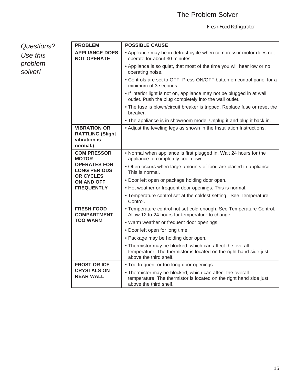### The Problem Solver

| Questions? |
|------------|
| Use this   |
| problem    |
| solver!    |

| <b>PROBLEM</b>                                                             | <b>POSSIBLE CAUSE</b>                                                                                                                                     |
|----------------------------------------------------------------------------|-----------------------------------------------------------------------------------------------------------------------------------------------------------|
| <b>APPLIANCE DOES</b><br><b>NOT OPERATE</b>                                | • Appliance may be in defrost cycle when compressor motor does not<br>operate for about 30 minutes.                                                       |
|                                                                            | • Appliance is so quiet, that most of the time you will hear low or no<br>operating noise.                                                                |
|                                                                            | • Controls are set to OFF. Press ON/OFF button on control panel for a<br>minimum of 3 seconds.                                                            |
|                                                                            | . If interior light is not on, appliance may not be plugged in at wall<br>outlet. Push the plug completely into the wall outlet.                          |
|                                                                            | . The fuse is blown/circuit breaker is tripped. Replace fuse or reset the<br>breaker.                                                                     |
|                                                                            | • The appliance is in showroom mode. Unplug it and plug it back in.                                                                                       |
| <b>VIBRATION OR</b><br><b>RATTLING (Slight</b><br>vibration is<br>normal.) | • Adjust the leveling legs as shown in the Installation Instructions.                                                                                     |
| <b>COM PRESSOR</b><br><b>MOTOR</b>                                         | . Normal when appliance is first plugged in. Wait 24 hours for the<br>appliance to completely cool down.                                                  |
| <b>OPERATES FOR</b><br><b>LONG PERIODS</b>                                 | • Often occurs when large amounts of food are placed in appliance.<br>This is normal.                                                                     |
| <b>OR CYCLES</b><br>ON AND OFF                                             | . Door left open or package holding door open.                                                                                                            |
| <b>FREQUENTLY</b>                                                          | • Hot weather or frequent door openings. This is normal.                                                                                                  |
|                                                                            | • Temperature control set at the coldest setting. See Temperature<br>Control.                                                                             |
| <b>FRESH FOOD</b><br><b>COMPARTMENT</b>                                    | • Temperature control not set cold enough. See Temperature Control.<br>Allow 12 to 24 hours for temperature to change.                                    |
| <b>TOO WARM</b>                                                            | . Warm weather or frequent door openings.                                                                                                                 |
|                                                                            | . Door left open for long time.                                                                                                                           |
|                                                                            | · Package may be holding door open.                                                                                                                       |
|                                                                            | . Thermistor may be blocked, which can affect the overall<br>temperature. The thermistor is located on the right hand side just<br>above the third shelf. |
| <b>FROST OR ICE</b>                                                        | . Too frequent or too long door openings.                                                                                                                 |
| <b>CRYSTALS ON</b><br><b>REAR WALL</b>                                     | • Thermistor may be blocked, which can affect the overall<br>temperature. The thermistor is located on the right hand side just<br>above the third shelf. |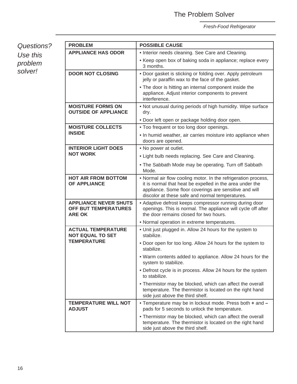#### The Problem Solver

*Fresh-Food Refrigerator*

*Questions? Use this problem solver!*

| <b>PROBLEM</b>                                                               | <b>POSSIBLE CAUSE</b>                                                                                                                                                                                                                   |
|------------------------------------------------------------------------------|-----------------------------------------------------------------------------------------------------------------------------------------------------------------------------------------------------------------------------------------|
| <b>APPLIANCE HAS ODOR</b>                                                    | • Interior needs cleaning. See Care and Cleaning.                                                                                                                                                                                       |
|                                                                              | • Keep open box of baking soda in appliance; replace every<br>3 months.                                                                                                                                                                 |
| <b>DOOR NOT CLOSING</b>                                                      | . Door gasket is sticking or folding over. Apply petroleum<br>jelly or paraffin wax to the face of the gasket.                                                                                                                          |
|                                                                              | • The door is hitting an internal component inside the<br>appliance. Adjust interior components to prevent<br>interference.                                                                                                             |
| <b>MOISTURE FORMS ON</b><br><b>OUTSIDE OF APPLIANCE</b>                      | . Not unusual during periods of high humidity. Wipe surface<br>dry.                                                                                                                                                                     |
|                                                                              | . Door left open or package holding door open.                                                                                                                                                                                          |
| <b>MOISTURE COLLECTS</b>                                                     | . Too frequent or too long door openings.                                                                                                                                                                                               |
| <b>INSIDE</b>                                                                | • In humid weather, air carries moisture into appliance when<br>doors are opened.                                                                                                                                                       |
| <b>INTERIOR LIGHT DOES</b>                                                   | • No power at outlet.                                                                                                                                                                                                                   |
| <b>NOT WORK</b>                                                              | • Light bulb needs replacing. See Care and Cleaning.                                                                                                                                                                                    |
|                                                                              | • The Sabbath Mode may be operating. Turn off Sabbath<br>Mode.                                                                                                                                                                          |
| <b>HOT AIR FROM BOTTOM</b><br><b>OF APPLIANCE</b>                            | • Normal air flow cooling motor. In the refrigeration process,<br>it is normal that heat be expelled in the area under the<br>appliance. Some floor coverings are sensitive and will<br>discolor at these safe and normal temperatures. |
| <b>APPLIANCE NEVER SHUTS</b><br><b>OFF BUT TEMPERATURES</b><br><b>ARE OK</b> | • Adaptive defrost keeps compressor running during door<br>openings. This is normal. The appliance will cycle off after<br>the door remains closed for two hours.                                                                       |
|                                                                              | • Normal operation in extreme temperatures.                                                                                                                                                                                             |
| <b>ACTUAL TEMPERATURE</b><br><b>NOT EQUAL TO SET</b>                         | . Unit just plugged in. Allow 24 hours for the system to<br>stabilize.                                                                                                                                                                  |
| <b>TEMPERATURE</b>                                                           | . Door open for too long. Allow 24 hours for the system to<br>stabilize.                                                                                                                                                                |
|                                                                              | . Warm contents added to appliance. Allow 24 hours for the<br>system to stabilize.                                                                                                                                                      |
|                                                                              | • Defrost cycle is in process. Allow 24 hours for the system<br>to stabilize.                                                                                                                                                           |
|                                                                              | • Thermistor may be blocked, which can affect the overall<br>temperature. The thermistor is located on the right hand<br>side just above the third shelf.                                                                               |
| <b>TEMPERATURE WILL NOT</b><br><b>ADJUST</b>                                 | . Temperature may be in lockout mode. Press both + and -<br>pads for 5 seconds to unlock the temperature.                                                                                                                               |
|                                                                              | • Thermistor may be blocked, which can affect the overall<br>temperature. The thermistor is located on the right hand<br>side just above the third shelf.                                                                               |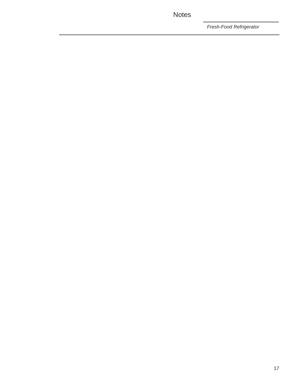Notes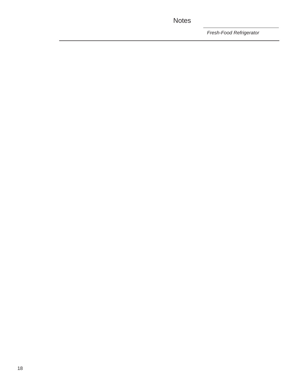### Notes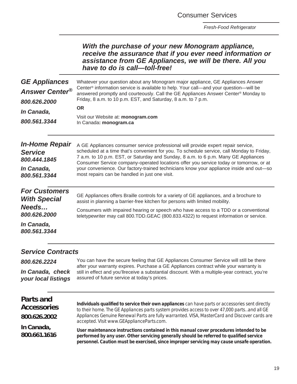Consumer Services

*Fresh-Food Refrigerator*

| With the purchase of your new Monogram appliance,<br>receive the assurance that if you ever need information or |
|-----------------------------------------------------------------------------------------------------------------|
| assistance from GE Appliances, we will be there. All you<br>have to do is call-toll-free!                       |

| <b>GE Appliances</b><br><b>Answer Center®</b><br>800.626.2000<br><i>In Canada,</i><br>800,561,3344 | Whatever your question about any Monogram major appliance, GE Appliances Answer<br>Center <sup>®</sup> information service is available to help. Your call—and your question—will be<br>answered promptly and courteously. Call the GE Appliances Answer Center <sup>®</sup> Monday to<br>Friday, 8 a.m. to 10 p.m. EST, and Saturday, 8 a.m. to 7 p.m.<br><b>OR</b><br>Visit our Website at: monogram.com<br>In Canada: monogram.ca                                                                         |
|----------------------------------------------------------------------------------------------------|--------------------------------------------------------------------------------------------------------------------------------------------------------------------------------------------------------------------------------------------------------------------------------------------------------------------------------------------------------------------------------------------------------------------------------------------------------------------------------------------------------------|
| <b>In-Home Repair</b><br><b>Service</b><br>800.444.1845<br>In Canada,<br>800.561.3344              | A GE Appliances consumer service professional will provide expert repair service,<br>scheduled at a time that's convenient for you. To schedule service, call Monday to Friday,<br>7 a.m. to 10 p.m. EST, or Saturday and Sunday, 8 a.m. to 6 p.m. Many GE Appliances<br>Consumer Service company-operated locations offer you service today or tomorrow, or at<br>your convenience. Our factory-trained technicians know your appliance inside and out-so<br>most repairs can be handled in just one visit. |
| <b>For Customers</b><br><b>With Special</b><br>Needs<br>800,626,2000<br>In Canada,<br>800.561.3344 | GE Appliances offers Braille controls for a variety of GE appliances, and a brochure to<br>assist in planning a barrier-free kitchen for persons with limited mobility.<br>Consumers with impaired hearing or speech who have access to a TDD or a conventional<br>teletypewriter may call 800.TDD.GEAC (800.833.4322) to request information or service.                                                                                                                                                    |

### *Service Contracts*

| 800.626.2224        | You can have the secure feeling that GE Appliances Consumer Service will still be there          |
|---------------------|--------------------------------------------------------------------------------------------------|
|                     | after your warranty expires. Purchase a GE Appliances contract while your warranty is            |
| In Canada, check    | still in effect and you'll receive a substantial discount. With a multiple-year contract, you're |
| your local listings | assured of future service at today's prices.                                                     |

| Parts and<br><b>Accessories</b><br>800.626.2002 | Individuals qualified to service their own appliances can have parts or accessories sent directly<br>to their home. The GE Appliances parts system provides access to over 47,000 partsand all GE<br>Appliances Genuine Renewal Parts are fully warranted. VISA, MasterCard and Discover cards are<br>accepted. VIsit www.GEApplianceParts.com. |
|-------------------------------------------------|-------------------------------------------------------------------------------------------------------------------------------------------------------------------------------------------------------------------------------------------------------------------------------------------------------------------------------------------------|
| In Canada,<br>800.661.1616                      | User maintenance instructions contained in this manual cover procedures intended to be<br>performed by any user. Other servicing generally should be referred to qualified service<br>personnel. Caution must be exercised, since improper servicing may cause unsafe operation.                                                                |